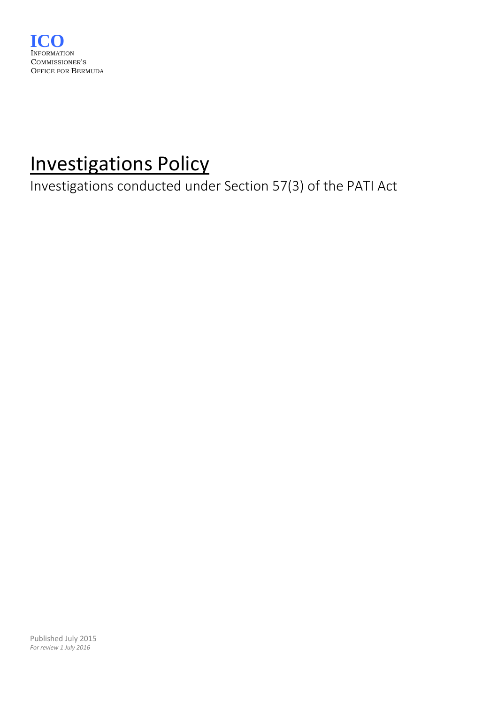

# Investigations Policy

Investigations conducted under Section 57(3) of the PATI Act

Published July 2015 *For review 1 July 2016*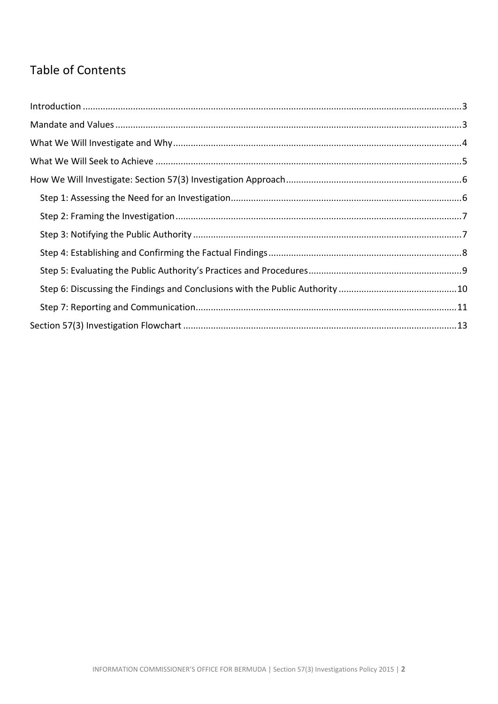# **Table of Contents**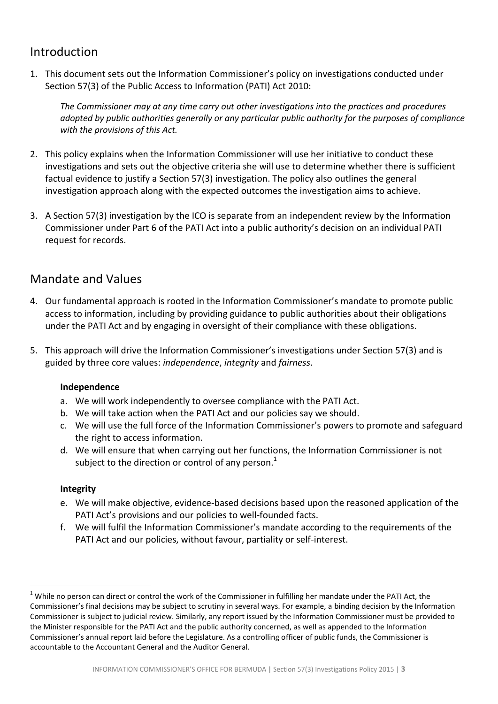# <span id="page-2-0"></span>Introduction

1. This document sets out the Information Commissioner's policy on investigations conducted under Section 57(3) of the Public Access to Information (PATI) Act 2010:

*The Commissioner may at any time carry out other investigations into the practices and procedures adopted by public authorities generally or any particular public authority for the purposes of compliance with the provisions of this Act.*

- 2. This policy explains when the Information Commissioner will use her initiative to conduct these investigations and sets out the objective criteria she will use to determine whether there is sufficient factual evidence to justify a Section 57(3) investigation. The policy also outlines the general investigation approach along with the expected outcomes the investigation aims to achieve.
- 3. A Section 57(3) investigation by the ICO is separate from an independent review by the Information Commissioner under Part 6 of the PATI Act into a public authority's decision on an individual PATI request for records.

# <span id="page-2-1"></span>Mandate and Values

- 4. Our fundamental approach is rooted in the Information Commissioner's mandate to promote public access to information, including by providing guidance to public authorities about their obligations under the PATI Act and by engaging in oversight of their compliance with these obligations.
- 5. This approach will drive the Information Commissioner's investigations under Section 57(3) and is guided by three core values: *independence*, *integrity* and *fairness*.

#### **Independence**

- a. We will work independently to oversee compliance with the PATI Act.
- b. We will take action when the PATI Act and our policies say we should.
- c. We will use the full force of the Information Commissioner's powers to promote and safeguard the right to access information.
- d. We will ensure that when carrying out her functions, the Information Commissioner is not subject to the direction or control of any person.<sup>1</sup>

#### **Integrity**

1

- e. We will make objective, evidence-based decisions based upon the reasoned application of the PATI Act's provisions and our policies to well-founded facts.
- f. We will fulfil the Information Commissioner's mandate according to the requirements of the PATI Act and our policies, without favour, partiality or self-interest.

 $1$  While no person can direct or control the work of the Commissioner in fulfilling her mandate under the PATI Act, the Commissioner's final decisions may be subject to scrutiny in several ways. For example, a binding decision by the Information Commissioner is subject to judicial review. Similarly, any report issued by the Information Commissioner must be provided to the Minister responsible for the PATI Act and the public authority concerned, as well as appended to the Information Commissioner's annual report laid before the Legislature. As a controlling officer of public funds, the Commissioner is accountable to the Accountant General and the Auditor General.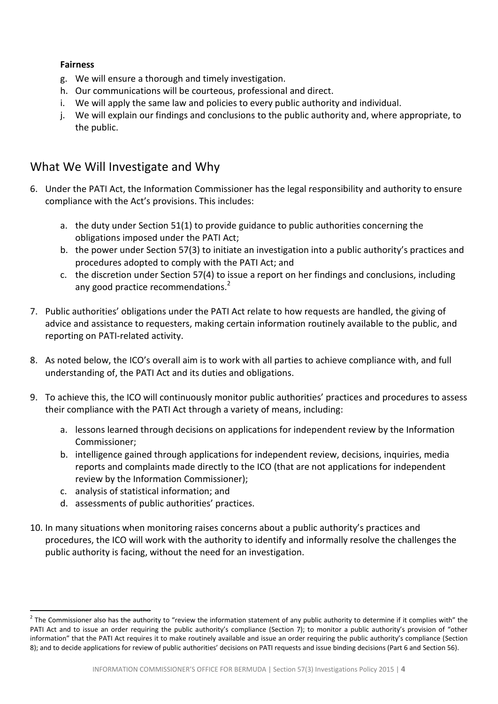#### **Fairness**

- g. We will ensure a thorough and timely investigation.
- h. Our communications will be courteous, professional and direct.
- i. We will apply the same law and policies to every public authority and individual.
- j. We will explain our findings and conclusions to the public authority and, where appropriate, to the public.

## <span id="page-3-0"></span>What We Will Investigate and Why

- 6. Under the PATI Act, the Information Commissioner has the legal responsibility and authority to ensure compliance with the Act's provisions. This includes:
	- a. the duty under Section 51(1) to provide guidance to public authorities concerning the obligations imposed under the PATI Act;
	- b. the power under Section 57(3) to initiate an investigation into a public authority's practices and procedures adopted to comply with the PATI Act; and
	- c. the discretion under Section 57(4) to issue a report on her findings and conclusions, including any good practice recommendations.<sup>2</sup>
- 7. Public authorities' obligations under the PATI Act relate to how requests are handled, the giving of advice and assistance to requesters, making certain information routinely available to the public, and reporting on PATI-related activity.
- 8. As noted below, the ICO's overall aim is to work with all parties to achieve compliance with, and full understanding of, the PATI Act and its duties and obligations.
- 9. To achieve this, the ICO will continuously monitor public authorities' practices and procedures to assess their compliance with the PATI Act through a variety of means, including:
	- a. lessons learned through decisions on applications for independent review by the Information Commissioner;
	- b. intelligence gained through applications for independent review, decisions, inquiries, media reports and complaints made directly to the ICO (that are not applications for independent review by the Information Commissioner);
	- c. analysis of statistical information; and

1

- d. assessments of public authorities' practices.
- 10. In many situations when monitoring raises concerns about a public authority's practices and procedures, the ICO will work with the authority to identify and informally resolve the challenges the public authority is facing, without the need for an investigation.

 $2$  The Commissioner also has the authority to "review the information statement of any public authority to determine if it complies with" the PATI Act and to issue an order requiring the public authority's compliance (Section 7); to monitor a public authority's provision of "other information" that the PATI Act requires it to make routinely available and issue an order requiring the public authority's compliance (Section 8); and to decide applications for review of public authorities' decisions on PATI requests and issue binding decisions (Part 6 and Section 56).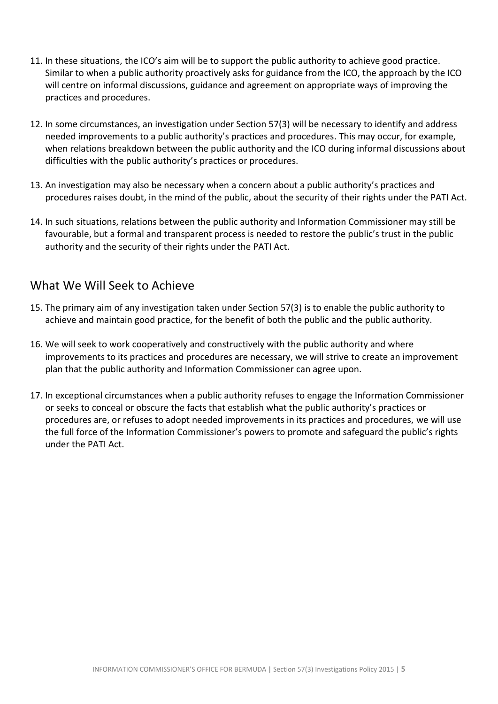- 11. In these situations, the ICO's aim will be to support the public authority to achieve good practice. Similar to when a public authority proactively asks for guidance from the ICO, the approach by the ICO will centre on informal discussions, guidance and agreement on appropriate ways of improving the practices and procedures.
- 12. In some circumstances, an investigation under Section 57(3) will be necessary to identify and address needed improvements to a public authority's practices and procedures. This may occur, for example, when relations breakdown between the public authority and the ICO during informal discussions about difficulties with the public authority's practices or procedures.
- 13. An investigation may also be necessary when a concern about a public authority's practices and procedures raises doubt, in the mind of the public, about the security of their rights under the PATI Act.
- 14. In such situations, relations between the public authority and Information Commissioner may still be favourable, but a formal and transparent process is needed to restore the public's trust in the public authority and the security of their rights under the PATI Act.

### <span id="page-4-0"></span>What We Will Seek to Achieve

- 15. The primary aim of any investigation taken under Section 57(3) is to enable the public authority to achieve and maintain good practice, for the benefit of both the public and the public authority.
- 16. We will seek to work cooperatively and constructively with the public authority and where improvements to its practices and procedures are necessary, we will strive to create an improvement plan that the public authority and Information Commissioner can agree upon.
- 17. In exceptional circumstances when a public authority refuses to engage the Information Commissioner or seeks to conceal or obscure the facts that establish what the public authority's practices or procedures are, or refuses to adopt needed improvements in its practices and procedures, we will use the full force of the Information Commissioner's powers to promote and safeguard the public's rights under the PATI Act.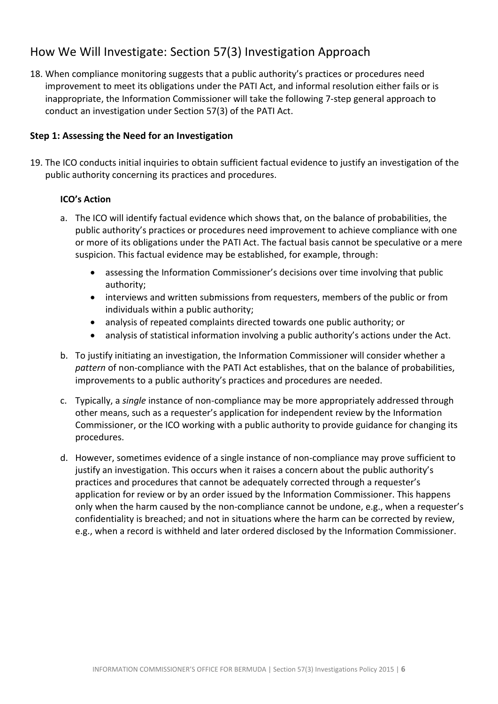# <span id="page-5-0"></span>How We Will Investigate: Section 57(3) Investigation Approach

18. When compliance monitoring suggests that a public authority's practices or procedures need improvement to meet its obligations under the PATI Act, and informal resolution either fails or is inappropriate, the Information Commissioner will take the following 7-step general approach to conduct an investigation under Section 57(3) of the PATI Act.

#### <span id="page-5-1"></span>**Step 1: Assessing the Need for an Investigation**

19. The ICO conducts initial inquiries to obtain sufficient factual evidence to justify an investigation of the public authority concerning its practices and procedures.

- a. The ICO will identify factual evidence which shows that, on the balance of probabilities, the public authority's practices or procedures need improvement to achieve compliance with one or more of its obligations under the PATI Act. The factual basis cannot be speculative or a mere suspicion. This factual evidence may be established, for example, through:
	- assessing the Information Commissioner's decisions over time involving that public authority;
	- interviews and written submissions from requesters, members of the public or from individuals within a public authority;
	- analysis of repeated complaints directed towards one public authority; or
	- analysis of statistical information involving a public authority's actions under the Act.
- b. To justify initiating an investigation, the Information Commissioner will consider whether a *pattern* of non-compliance with the PATI Act establishes, that on the balance of probabilities, improvements to a public authority's practices and procedures are needed.
- c. Typically, a *single* instance of non-compliance may be more appropriately addressed through other means, such as a requester's application for independent review by the Information Commissioner, or the ICO working with a public authority to provide guidance for changing its procedures.
- d. However, sometimes evidence of a single instance of non-compliance may prove sufficient to justify an investigation. This occurs when it raises a concern about the public authority's practices and procedures that cannot be adequately corrected through a requester's application for review or by an order issued by the Information Commissioner. This happens only when the harm caused by the non-compliance cannot be undone, e.g., when a requester's confidentiality is breached; and not in situations where the harm can be corrected by review, e.g., when a record is withheld and later ordered disclosed by the Information Commissioner.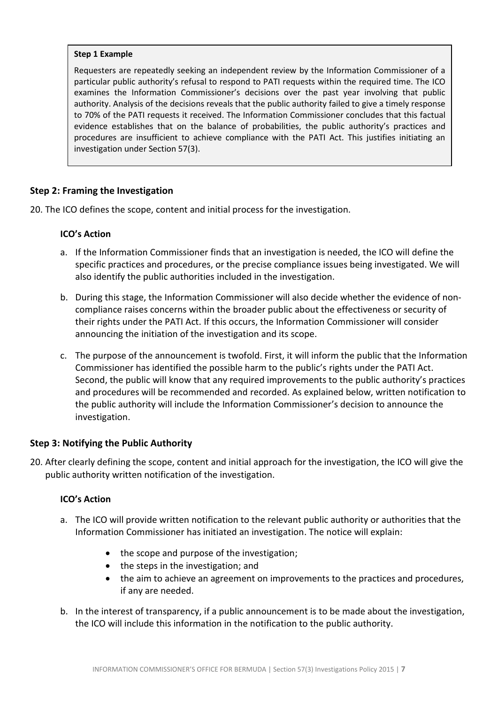#### **Step 1 Example**

Requesters are repeatedly seeking an independent review by the Information Commissioner of a particular public authority's refusal to respond to PATI requests within the required time. The ICO examines the Information Commissioner's decisions over the past year involving that public authority. Analysis of the decisions reveals that the public authority failed to give a timely response to 70% of the PATI requests it received. The Information Commissioner concludes that this factual evidence establishes that on the balance of probabilities, the public authority's practices and procedures are insufficient to achieve compliance with the PATI Act. This justifies initiating an investigation under Section 57(3).

#### <span id="page-6-0"></span>**Step 2: Framing the Investigation**

20. The ICO defines the scope, content and initial process for the investigation.

#### **ICO's Action**

- a. If the Information Commissioner finds that an investigation is needed, the ICO will define the specific practices and procedures, or the precise compliance issues being investigated. We will also identify the public authorities included in the investigation.
- b. During this stage, the Information Commissioner will also decide whether the evidence of noncompliance raises concerns within the broader public about the effectiveness or security of their rights under the PATI Act. If this occurs, the Information Commissioner will consider announcing the initiation of the investigation and its scope.
- c. The purpose of the announcement is twofold. First, it will inform the public that the Information Commissioner has identified the possible harm to the public's rights under the PATI Act. Second, the public will know that any required improvements to the public authority's practices and procedures will be recommended and recorded. As explained below, written notification to the public authority will include the Information Commissioner's decision to announce the investigation.

#### <span id="page-6-1"></span>**Step 3: Notifying the Public Authority**

20. After clearly defining the scope, content and initial approach for the investigation, the ICO will give the public authority written notification of the investigation.

- a. The ICO will provide written notification to the relevant public authority or authorities that the Information Commissioner has initiated an investigation. The notice will explain:
	- the scope and purpose of the investigation;
	- the steps in the investigation; and
	- the aim to achieve an agreement on improvements to the practices and procedures, if any are needed.
- b. In the interest of transparency, if a public announcement is to be made about the investigation, the ICO will include this information in the notification to the public authority.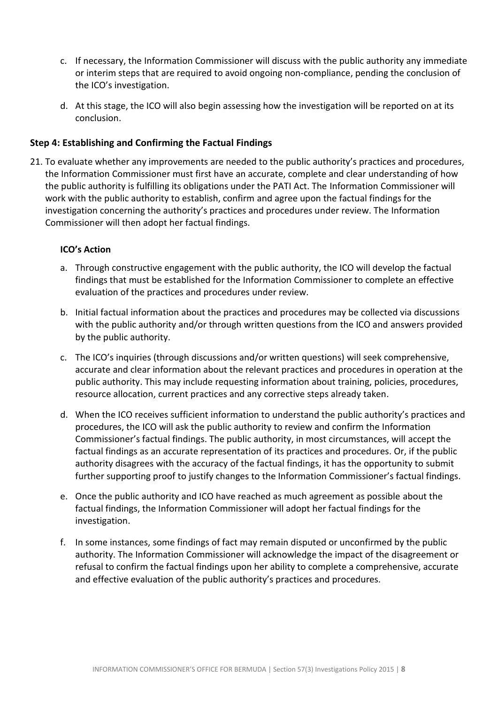- c. If necessary, the Information Commissioner will discuss with the public authority any immediate or interim steps that are required to avoid ongoing non-compliance, pending the conclusion of the ICO's investigation.
- d. At this stage, the ICO will also begin assessing how the investigation will be reported on at its conclusion.

#### <span id="page-7-0"></span>**Step 4: Establishing and Confirming the Factual Findings**

21. To evaluate whether any improvements are needed to the public authority's practices and procedures, the Information Commissioner must first have an accurate, complete and clear understanding of how the public authority is fulfilling its obligations under the PATI Act. The Information Commissioner will work with the public authority to establish, confirm and agree upon the factual findings for the investigation concerning the authority's practices and procedures under review. The Information Commissioner will then adopt her factual findings.

- a. Through constructive engagement with the public authority, the ICO will develop the factual findings that must be established for the Information Commissioner to complete an effective evaluation of the practices and procedures under review.
- b. Initial factual information about the practices and procedures may be collected via discussions with the public authority and/or through written questions from the ICO and answers provided by the public authority.
- c. The ICO's inquiries (through discussions and/or written questions) will seek comprehensive, accurate and clear information about the relevant practices and procedures in operation at the public authority. This may include requesting information about training, policies, procedures, resource allocation, current practices and any corrective steps already taken.
- d. When the ICO receives sufficient information to understand the public authority's practices and procedures, the ICO will ask the public authority to review and confirm the Information Commissioner's factual findings. The public authority, in most circumstances, will accept the factual findings as an accurate representation of its practices and procedures. Or, if the public authority disagrees with the accuracy of the factual findings, it has the opportunity to submit further supporting proof to justify changes to the Information Commissioner's factual findings.
- e. Once the public authority and ICO have reached as much agreement as possible about the factual findings, the Information Commissioner will adopt her factual findings for the investigation.
- f. In some instances, some findings of fact may remain disputed or unconfirmed by the public authority. The Information Commissioner will acknowledge the impact of the disagreement or refusal to confirm the factual findings upon her ability to complete a comprehensive, accurate and effective evaluation of the public authority's practices and procedures.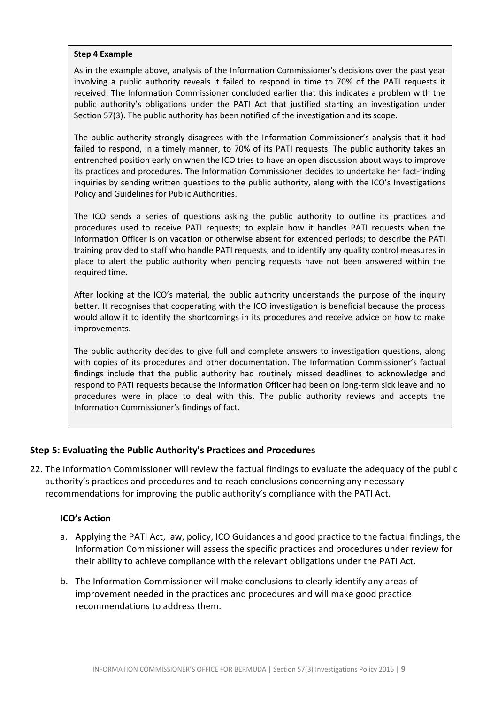#### **Step 4 Example**

As in the example above, analysis of the Information Commissioner's decisions over the past year involving a public authority reveals it failed to respond in time to 70% of the PATI requests it received. The Information Commissioner concluded earlier that this indicates a problem with the public authority's obligations under the PATI Act that justified starting an investigation under Section 57(3). The public authority has been notified of the investigation and its scope.

The public authority strongly disagrees with the Information Commissioner's analysis that it had failed to respond, in a timely manner, to 70% of its PATI requests. The public authority takes an entrenched position early on when the ICO tries to have an open discussion about ways to improve its practices and procedures. The Information Commissioner decides to undertake her fact-finding inquiries by sending written questions to the public authority, along with the ICO's Investigations Policy and Guidelines for Public Authorities.

The ICO sends a series of questions asking the public authority to outline its practices and procedures used to receive PATI requests; to explain how it handles PATI requests when the Information Officer is on vacation or otherwise absent for extended periods; to describe the PATI training provided to staff who handle PATI requests; and to identify any quality control measures in place to alert the public authority when pending requests have not been answered within the required time.

After looking at the ICO's material, the public authority understands the purpose of the inquiry better. It recognises that cooperating with the ICO investigation is beneficial because the process would allow it to identify the shortcomings in its procedures and receive advice on how to make improvements.

The public authority decides to give full and complete answers to investigation questions, along with copies of its procedures and other documentation. The Information Commissioner's factual findings include that the public authority had routinely missed deadlines to acknowledge and respond to PATI requests because the Information Officer had been on long-term sick leave and no procedures were in place to deal with this. The public authority reviews and accepts the Information Commissioner's findings of fact.

#### <span id="page-8-0"></span>**Step 5: Evaluating the Public Authority's Practices and Procedures**

22. The Information Commissioner will review the factual findings to evaluate the adequacy of the public authority's practices and procedures and to reach conclusions concerning any necessary recommendations for improving the public authority's compliance with the PATI Act.

- a. Applying the PATI Act, law, policy, ICO Guidances and good practice to the factual findings, the Information Commissioner will assess the specific practices and procedures under review for their ability to achieve compliance with the relevant obligations under the PATI Act.
- b. The Information Commissioner will make conclusions to clearly identify any areas of improvement needed in the practices and procedures and will make good practice recommendations to address them.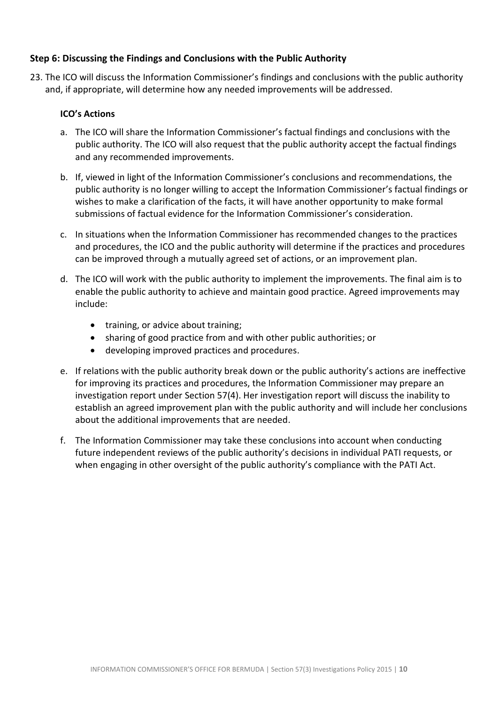#### <span id="page-9-0"></span>**Step 6: Discussing the Findings and Conclusions with the Public Authority**

23. The ICO will discuss the Information Commissioner's findings and conclusions with the public authority and, if appropriate, will determine how any needed improvements will be addressed.

- a. The ICO will share the Information Commissioner's factual findings and conclusions with the public authority. The ICO will also request that the public authority accept the factual findings and any recommended improvements.
- b. If, viewed in light of the Information Commissioner's conclusions and recommendations, the public authority is no longer willing to accept the Information Commissioner's factual findings or wishes to make a clarification of the facts, it will have another opportunity to make formal submissions of factual evidence for the Information Commissioner's consideration.
- c. In situations when the Information Commissioner has recommended changes to the practices and procedures, the ICO and the public authority will determine if the practices and procedures can be improved through a mutually agreed set of actions, or an improvement plan.
- d. The ICO will work with the public authority to implement the improvements. The final aim is to enable the public authority to achieve and maintain good practice. Agreed improvements may include:
	- training, or advice about training;
	- sharing of good practice from and with other public authorities; or
	- developing improved practices and procedures.
- e. If relations with the public authority break down or the public authority's actions are ineffective for improving its practices and procedures, the Information Commissioner may prepare an investigation report under Section 57(4). Her investigation report will discuss the inability to establish an agreed improvement plan with the public authority and will include her conclusions about the additional improvements that are needed.
- f. The Information Commissioner may take these conclusions into account when conducting future independent reviews of the public authority's decisions in individual PATI requests, or when engaging in other oversight of the public authority's compliance with the PATI Act.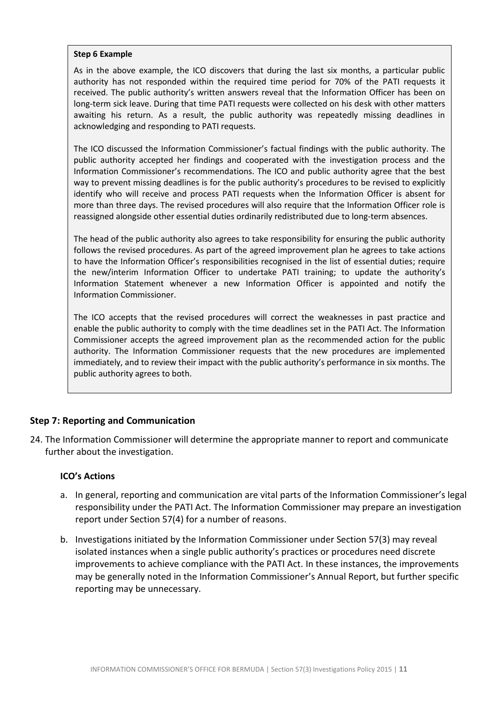#### **Step 6 Example**

As in the above example, the ICO discovers that during the last six months, a particular public authority has not responded within the required time period for 70% of the PATI requests it received. The public authority's written answers reveal that the Information Officer has been on long-term sick leave. During that time PATI requests were collected on his desk with other matters awaiting his return. As a result, the public authority was repeatedly missing deadlines in acknowledging and responding to PATI requests.

The ICO discussed the Information Commissioner's factual findings with the public authority. The public authority accepted her findings and cooperated with the investigation process and the Information Commissioner's recommendations. The ICO and public authority agree that the best way to prevent missing deadlines is for the public authority's procedures to be revised to explicitly identify who will receive and process PATI requests when the Information Officer is absent for more than three days. The revised procedures will also require that the Information Officer role is reassigned alongside other essential duties ordinarily redistributed due to long-term absences.

The head of the public authority also agrees to take responsibility for ensuring the public authority follows the revised procedures. As part of the agreed improvement plan he agrees to take actions to have the Information Officer's responsibilities recognised in the list of essential duties; require the new/interim Information Officer to undertake PATI training; to update the authority's Information Statement whenever a new Information Officer is appointed and notify the Information Commissioner.

The ICO accepts that the revised procedures will correct the weaknesses in past practice and enable the public authority to comply with the time deadlines set in the PATI Act. The Information Commissioner accepts the agreed improvement plan as the recommended action for the public authority. The Information Commissioner requests that the new procedures are implemented immediately, and to review their impact with the public authority's performance in six months. The public authority agrees to both.

#### <span id="page-10-0"></span>**Step 7: Reporting and Communication**

24. The Information Commissioner will determine the appropriate manner to report and communicate further about the investigation.

- a. In general, reporting and communication are vital parts of the Information Commissioner's legal responsibility under the PATI Act. The Information Commissioner may prepare an investigation report under Section 57(4) for a number of reasons.
- b. Investigations initiated by the Information Commissioner under Section 57(3) may reveal isolated instances when a single public authority's practices or procedures need discrete improvements to achieve compliance with the PATI Act. In these instances, the improvements may be generally noted in the Information Commissioner's Annual Report, but further specific reporting may be unnecessary.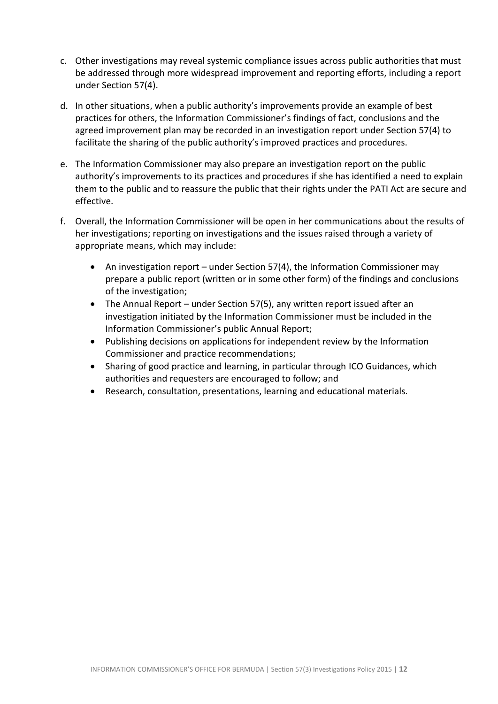- c. Other investigations may reveal systemic compliance issues across public authorities that must be addressed through more widespread improvement and reporting efforts, including a report under Section 57(4).
- d. In other situations, when a public authority's improvements provide an example of best practices for others, the Information Commissioner's findings of fact, conclusions and the agreed improvement plan may be recorded in an investigation report under Section 57(4) to facilitate the sharing of the public authority's improved practices and procedures.
- e. The Information Commissioner may also prepare an investigation report on the public authority's improvements to its practices and procedures if she has identified a need to explain them to the public and to reassure the public that their rights under the PATI Act are secure and effective.
- f. Overall, the Information Commissioner will be open in her communications about the results of her investigations; reporting on investigations and the issues raised through a variety of appropriate means, which may include:
	- An investigation report under Section 57(4), the Information Commissioner may prepare a public report (written or in some other form) of the findings and conclusions of the investigation;
	- The Annual Report under Section 57(5), any written report issued after an investigation initiated by the Information Commissioner must be included in the Information Commissioner's public Annual Report;
	- Publishing decisions on applications for independent review by the Information Commissioner and practice recommendations;
	- Sharing of good practice and learning, in particular through ICO Guidances, which authorities and requesters are encouraged to follow; and
	- Research, consultation, presentations, learning and educational materials.